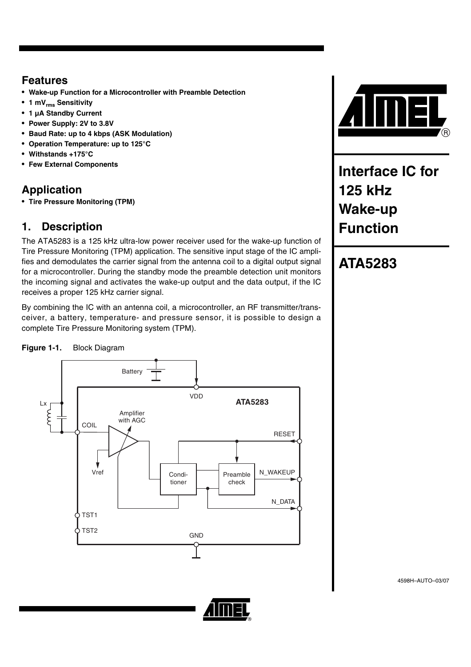### **Features**

- **Wake-up Function for a Microcontroller with Preamble Detection**
- **1 mVrms Sensitivity**
- **1 µA Standby Current**
- **Power Supply: 2V to 3.8V**
- **Baud Rate: up to 4 kbps (ASK Modulation)**
- **Operation Temperature: up to 125°C**
- **Withstands +175°C**
- **Few External Components**

### **Application**

• **Tire Pressure Monitoring (TPM)**

### **1. Description**

The ATA5283 is a 125 kHz ultra-low power receiver used for the wake-up function of Tire Pressure Monitoring (TPM) application. The sensitive input stage of the IC amplifies and demodulates the carrier signal from the antenna coil to a digital output signal for a microcontroller. During the standby mode the preamble detection unit monitors the incoming signal and activates the wake-up output and the data output, if the IC receives a proper 125 kHz carrier signal.

By combining the IC with an antenna coil, a microcontroller, an RF transmitter/transceiver, a battery, temperature- and pressure sensor, it is possible to design a complete Tire Pressure Monitoring system (TPM).

### **Figure 1-1.** Block Diagram





**Interface IC for 125 kHz Wake-up Function**

## **ATA5283**

4598H–AUTO–03/07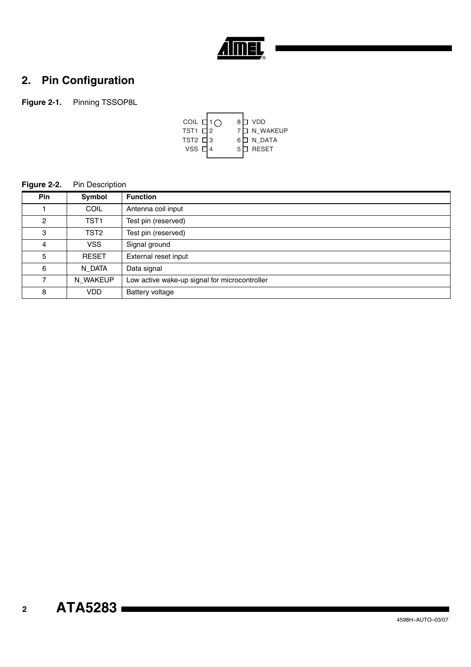

### **2. Pin Configuration**

**Figure 2-1.** Pinning TSSOP8L



#### **Figure 2-2.** Pin Description

| <b>Pin</b>     | Symbol           | <b>Function</b>                               |
|----------------|------------------|-----------------------------------------------|
|                | <b>COIL</b>      | Antenna coil input                            |
| $\mathcal{P}$  | TST <sub>1</sub> | Test pin (reserved)                           |
| 3              | TST <sub>2</sub> | Test pin (reserved)                           |
| 4              | <b>VSS</b>       | Signal ground                                 |
| 5              | <b>RESET</b>     | External reset input                          |
| 6              | N_DATA           | Data signal                                   |
| $\overline{7}$ | N_WAKEUP         | Low active wake-up signal for microcontroller |
| 8              | <b>VDD</b>       | Battery voltage                               |

## **ATA5283**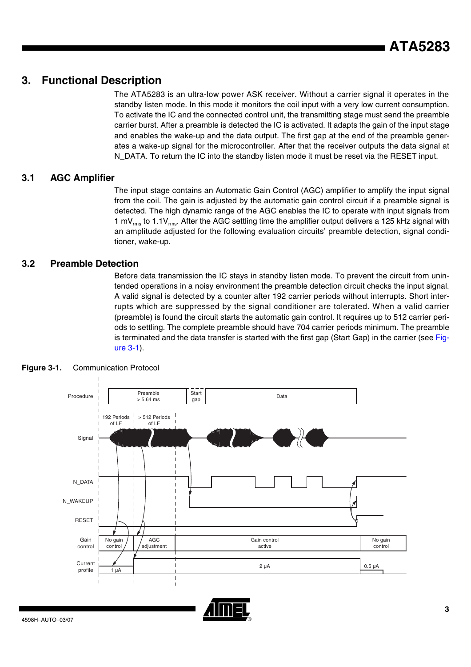### **3. Functional Description**

The ATA5283 is an ultra-low power ASK receiver. Without a carrier signal it operates in the standby listen mode. In this mode it monitors the coil input with a very low current consumption. To activate the IC and the connected control unit, the transmitting stage must send the preamble carrier burst. After a preamble is detected the IC is activated. It adapts the gain of the input stage and enables the wake-up and the data output. The first gap at the end of the preamble generates a wake-up signal for the microcontroller. After that the receiver outputs the data signal at N\_DATA. To return the IC into the standby listen mode it must be reset via the RESET input.

### **3.1 AGC Amplifier**

The input stage contains an Automatic Gain Control (AGC) amplifier to amplify the input signal from the coil. The gain is adjusted by the automatic gain control circuit if a preamble signal is detected. The high dynamic range of the AGC enables the IC to operate with input signals from 1 mV $_{rms}$  to 1.1V $_{rms}$ . After the AGC settling time the amplifier output delivers a 125 kHz signal with an amplitude adjusted for the following evaluation circuits' preamble detection, signal conditioner, wake-up.

### **3.2 Preamble Detection**

Before data transmission the IC stays in standby listen mode. To prevent the circuit from unintended operations in a noisy environment the preamble detection circuit checks the input signal. A valid signal is detected by a counter after 192 carrier periods without interrupts. Short interrupts which are suppressed by the signal conditioner are tolerated. When a valid carrier (preamble) is found the circuit starts the automatic gain control. It requires up to 512 carrier periods to settling. The complete preamble should have 704 carrier periods minimum. The preamble is terminated and the data transfer is started with the first gap (Start Gap) in the carrier (see [Fig](#page-2-0)[ure 3-1](#page-2-0)).



### <span id="page-2-0"></span>**Figure 3-1.** Communication Protocol

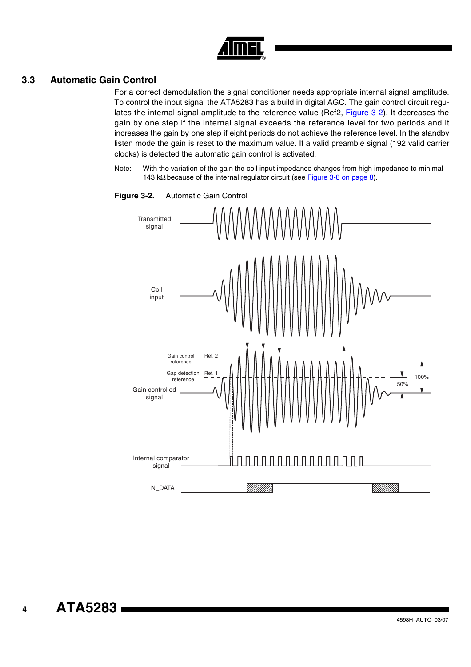

### **3.3 Automatic Gain Control**

For a correct demodulation the signal conditioner needs appropriate internal signal amplitude. To control the input signal the ATA5283 has a build in digital AGC. The gain control circuit regulates the internal signal amplitude to the reference value (Ref2, [Figure 3-2\)](#page-3-0). It decreases the gain by one step if the internal signal exceeds the reference level for two periods and it increases the gain by one step if eight periods do not achieve the reference level. In the standby listen mode the gain is reset to the maximum value. If a valid preamble signal (192 valid carrier clocks) is detected the automatic gain control is activated.

Note: With the variation of the gain the coil input impedance changes from high impedance to minimal 143 kΩ because of the internal regulator circuit (see [Figure 3-8 on page 8\)](#page-7-0).



<span id="page-3-0"></span>**Figure 3-2.** Automatic Gain Control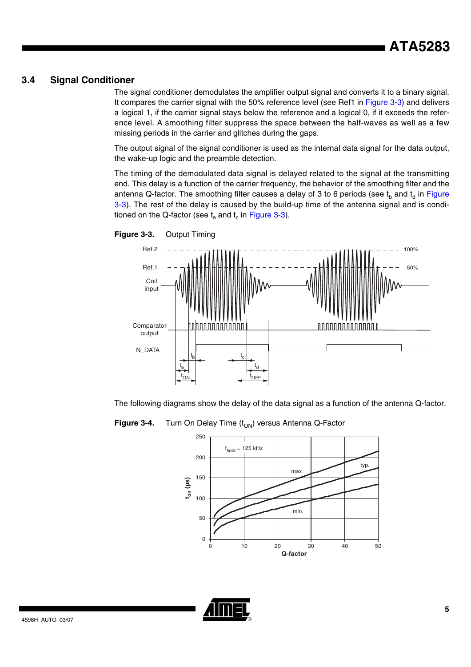### **3.4 Signal Conditioner**

The signal conditioner demodulates the amplifier output signal and converts it to a binary signal. It compares the carrier signal with the 50% reference level (see Ref1 in [Figure 3-3](#page-4-0)) and delivers a logical 1, if the carrier signal stays below the reference and a logical 0, if it exceeds the reference level. A smoothing filter suppress the space between the half-waves as well as a few missing periods in the carrier and glitches during the gaps.

The output signal of the signal conditioner is used as the internal data signal for the data output, the wake-up logic and the preamble detection.

The timing of the demodulated data signal is delayed related to the signal at the transmitting end. This delay is a function of the carrier frequency, the behavior of the smoothing filter and the antenna Q-factor. The smoothing filter causes a delay of 3 to 6 periods (see  $t_b$  and  $t_d$  in [Figure](#page-4-0) [3-3](#page-4-0)). The rest of the delay is caused by the build-up time of the antenna signal and is conditioned on the Q-factor (see  $t_a$  and  $t_c$  in [Figure 3-3](#page-4-0)).



<span id="page-4-0"></span>

The following diagrams show the delay of the data signal as a function of the antenna Q-factor.

**Figure 3-4.** Turn On Delay Time (t<sub>ON</sub>) versus Antenna Q-Factor



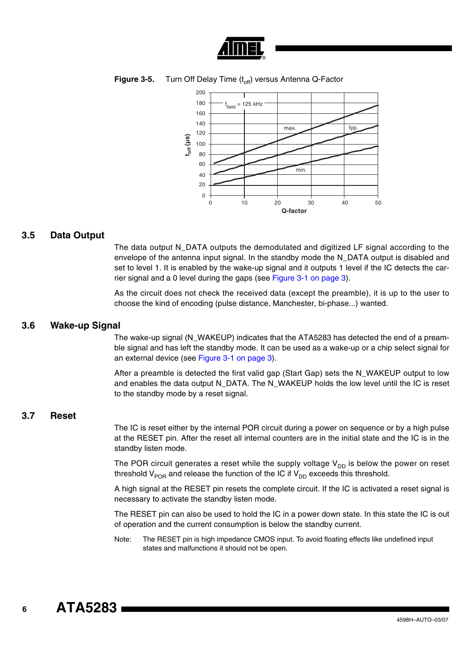





#### **3.5 Data Output**

The data output N\_DATA outputs the demodulated and digitized LF signal according to the envelope of the antenna input signal. In the standby mode the N\_DATA output is disabled and set to level 1. It is enabled by the wake-up signal and it outputs 1 level if the IC detects the carrier signal and a 0 level during the gaps (see [Figure 3-1 on page 3\)](#page-2-0).

As the circuit does not check the received data (except the preamble), it is up to the user to choose the kind of encoding (pulse distance, Manchester, bi-phase...) wanted.

#### **3.6 Wake-up Signal**

The wake-up signal (N\_WAKEUP) indicates that the ATA5283 has detected the end of a preamble signal and has left the standby mode. It can be used as a wake-up or a chip select signal for an external device (see [Figure 3-1 on page 3](#page-2-0)).

After a preamble is detected the first valid gap (Start Gap) sets the N\_WAKEUP output to low and enables the data output N\_DATA. The N\_WAKEUP holds the low level until the IC is reset to the standby mode by a reset signal.

#### **3.7 Reset**

The IC is reset either by the internal POR circuit during a power on sequence or by a high pulse at the RESET pin. After the reset all internal counters are in the initial state and the IC is in the standby listen mode.

The POR circuit generates a reset while the supply voltage  $V_{DD}$  is below the power on reset threshold  $V_{POR}$  and release the function of the IC if  $V_{DD}$  exceeds this threshold.

A high signal at the RESET pin resets the complete circuit. If the IC is activated a reset signal is necessary to activate the standby listen mode.

The RESET pin can also be used to hold the IC in a power down state. In this state the IC is out of operation and the current consumption is below the standby current.

Note: The RESET pin is high impedance CMOS input. To avoid floating effects like undefined input states and malfunctions it should not be open.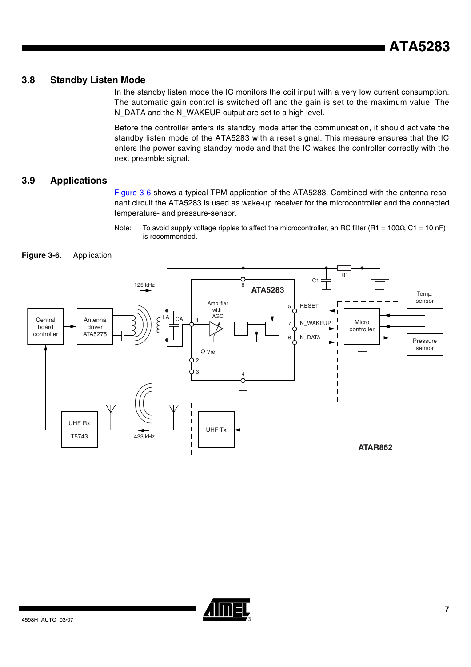### **3.8 Standby Listen Mode**

In the standby listen mode the IC monitors the coil input with a very low current consumption. The automatic gain control is switched off and the gain is set to the maximum value. The N\_DATA and the N\_WAKEUP output are set to a high level.

Before the controller enters its standby mode after the communication, it should activate the standby listen mode of the ATA5283 with a reset signal. This measure ensures that the IC enters the power saving standby mode and that the IC wakes the controller correctly with the next preamble signal.

### **3.9 Applications**

[Figure 3-6](#page-6-0) shows a typical TPM application of the ATA5283. Combined with the antenna resonant circuit the ATA5283 is used as wake-up receiver for the microcontroller and the connected temperature- and pressure-sensor.

Note: To avoid supply voltage ripples to affect the microcontroller, an RC filter (R1 = 100Ω, C1 = 10 nF) is recommended.

<span id="page-6-0"></span>



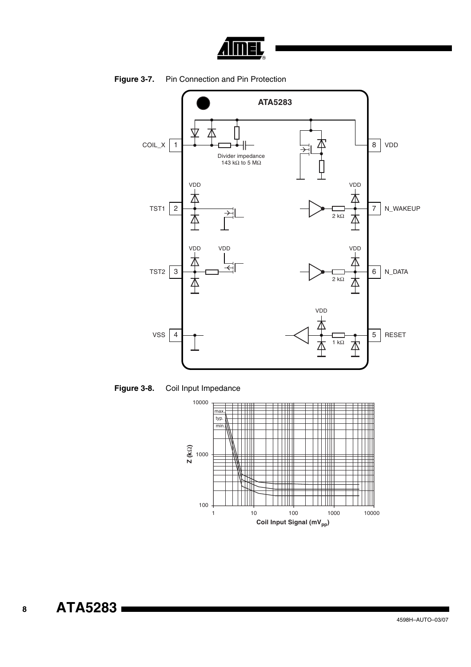





<span id="page-7-0"></span>

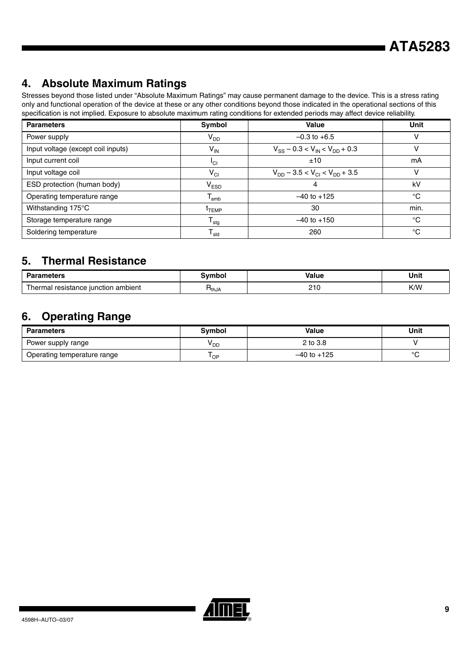### **4. Absolute Maximum Ratings**

Stresses beyond those listed under "Absolute Maximum Ratings" may cause permanent damage to the device. This is a stress rating only and functional operation of the device at these or any other conditions beyond those indicated in the operational sections of this specification is not implied. Exposure to absolute maximum rating conditions for extended periods may affect device reliability.

| <b>Parameters</b>                  | Symbol                       | <b>Value</b>                               | Unit |
|------------------------------------|------------------------------|--------------------------------------------|------|
| Power supply                       | V <sub>DD</sub>              | $-0.3$ to $+6.5$                           | ν    |
| Input voltage (except coil inputs) | V <sub>IN</sub>              | $V_{SS}$ – 0.3 < $V_{IN}$ < $V_{DD}$ + 0.3 | v    |
| Input current coil                 | <sup>I</sup> CI              | ±10                                        | mA   |
| Input voltage coil                 | $V_{CI}$                     | $V_{DD}$ – 3.5 < $V_{CI}$ < $V_{DD}$ + 3.5 | v    |
| ESD protection (human body)        | $V_{ESD}$                    |                                            | kV   |
| Operating temperature range        | $T_{amb}$                    | $-40$ to $+125$                            | °C   |
| Withstanding 175°C                 | <sup>L</sup> TEMP            | 30                                         | min. |
| Storage temperature range          | ${\mathsf T}_{\text{stg}}$   | $-40$ to $+150$                            | °C   |
| Soldering temperature              | ${\mathsf T}_{\textsf{sld}}$ | 260                                        | °C   |

### **5. Thermal Resistance**

| Dov.<br>,,,,, <b>,</b> ,,,              |                   | . .<br>/alue<br>.                              | Unit<br>__ |  |
|-----------------------------------------|-------------------|------------------------------------------------|------------|--|
| l resistance iunction ambient<br>hermai | <sup>1</sup> thJA | 0.10<br>ے ا<br>the contract of the contract of | K/W        |  |

### **6. Operating Range**

| <b>Parameters</b>           | Symbol          | Value           | Unit   |
|-----------------------------|-----------------|-----------------|--------|
| Power supply range          | <sup>v</sup> dd | 2 to 3.8        |        |
| Operating temperature range | ' OP            | $-40$ to $+125$ | $\sim$ |

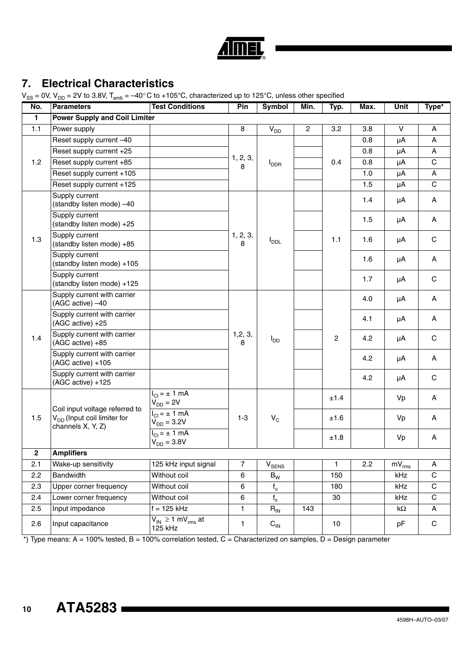| , | L |    |
|---|---|----|
|   |   | R) |

### **7. Electrical Characteristics**

 $V_{\text{on}} = 0V$ ,  $V_{\text{on}} = 2V$  to 3.8V,  $T_{\text{on}} = -40^{\circ}$ C to +105°C, characterized up to 125°C, unless other specified

| ১১<br>No.    | <b>Parameters</b>                                                                              | <b>Test Conditions</b>                                          | Pin            | <b>Symbol</b>                | Min.           | Typ.           | Max. | Unit                      | Type*        |
|--------------|------------------------------------------------------------------------------------------------|-----------------------------------------------------------------|----------------|------------------------------|----------------|----------------|------|---------------------------|--------------|
| $\mathbf{1}$ | <b>Power Supply and Coil Limiter</b>                                                           |                                                                 |                |                              |                |                |      |                           |              |
| 1.1          | Power supply                                                                                   |                                                                 | 8              | V <sub>DD</sub>              | $\overline{2}$ | 3.2            | 3.8  | V                         | Α            |
|              | Reset supply current -40                                                                       |                                                                 |                |                              |                |                | 0.8  | μA                        | A            |
|              | Reset supply current +25                                                                       |                                                                 |                | <b>I</b> <sub>DDR</sub>      |                | 0.4            | 0.8  | μA                        | Α            |
| 1.2          | Reset supply current +85                                                                       |                                                                 | 1, 2, 3,<br>8  |                              |                |                | 0.8  | μA                        | $\mathsf{C}$ |
|              | Reset supply current +105                                                                      |                                                                 |                |                              |                |                | 1.0  | μA                        | A            |
|              | Reset supply current +125                                                                      |                                                                 |                |                              |                |                | 1.5  | μA                        | $\mathsf{C}$ |
|              | Supply current<br>(standby listen mode) -40                                                    |                                                                 |                |                              |                |                | 1.4  | μA                        | A            |
|              | Supply current<br>(standby listen mode) +25                                                    |                                                                 |                |                              |                |                | 1.5  | μA                        | Α            |
| 1.3          | Supply current<br>(standby listen mode) +85                                                    |                                                                 | 1, 2, 3,<br>8  | $I_{\text{DDL}}$             |                | 1.1            | 1.6  | μA                        | $\mathsf C$  |
|              | Supply current<br>(standby listen mode) +105                                                   |                                                                 |                |                              |                |                | 1.6  | μA                        | A            |
|              | Supply current<br>(standby listen mode) +125                                                   |                                                                 |                |                              |                |                | 1.7  | μA                        | $\mathbf C$  |
|              | Supply current with carrier<br>(AGC active) -40                                                |                                                                 |                | $I_{DD}$                     |                | $\overline{c}$ | 4.0  | μA                        | A            |
|              | Supply current with carrier<br>(AGC active) +25                                                |                                                                 | 1, 2, 3,<br>8  |                              |                |                | 4.1  | μA                        | A            |
| 1.4          | Supply current with carrier<br>(AGC active) +85                                                |                                                                 |                |                              |                |                | 4.2  | μA                        | $\mathbf C$  |
|              | Supply current with carrier<br>(AGC active) +105                                               |                                                                 |                |                              |                |                | 4.2  | μA                        | A            |
|              | Supply current with carrier<br>(AGC active) +125                                               |                                                                 |                |                              |                |                | 4.2  | μA                        | C            |
|              |                                                                                                | $I_{CI} = \pm 1$ mA<br>$V_{DD} = 2V$                            | $1 - 3$        |                              |                | ±1.4           |      | Vp                        | Α            |
| 1.5          | Coil input voltage referred to<br>V <sub>DD</sub> (Input coil limiter for<br>channels X, Y, Z) | $I_{\text{Cl}} = \pm 1 \text{ mA}$<br>$V_{DD} = 3.2 V$          |                | $V_C$                        |                | ±1.6           |      | Vp                        | A            |
|              |                                                                                                | $I_{\text{Cl}} = \pm 1 \overline{\text{mA}}$<br>$V_{DD} = 3.8V$ |                |                              |                | ±1.8           |      | Vp                        | Α            |
| $\mathbf 2$  | <b>Amplifiers</b>                                                                              |                                                                 |                |                              |                |                |      |                           |              |
| 2.1          | Wake-up sensitivity                                                                            | 125 kHz input signal                                            | $\overline{7}$ | $\mathsf{V}_{\mathsf{SENS}}$ |                | $\mathbf{1}$   | 2.2  | $\overline{m}V_{\rm rms}$ | A            |
| 2.2          | Bandwidth                                                                                      | Without coil                                                    | 6              | $\mathsf{B}_{\mathsf{W}}$    |                | 150            |      | kHz                       | С            |
| 2.3          | Upper corner frequency                                                                         | Without coil                                                    | $\,6\,$        | $f_{u}$                      |                | 180            |      | kHz                       | $\mathsf C$  |
| 2.4          | Lower corner frequency                                                                         | Without coil                                                    | 6              | $f_{o}$                      |                | 30             |      | kHz                       | C            |
| 2.5          | Input impedance                                                                                | $f = 125$ kHz                                                   | 1              | $R_{IN}$                     | 143            |                |      | k $\Omega$                | A            |
| 2.6          | Input capacitance                                                                              | $V_{IN} \ge 1$ mV <sub>rms</sub> at<br>125 kHz                  | 1              | $C_{IN}$                     |                | 10             |      | pF                        | C            |

\*) Type means: A = 100% tested, B = 100% correlation tested, C = Characterized on samples, D = Design parameter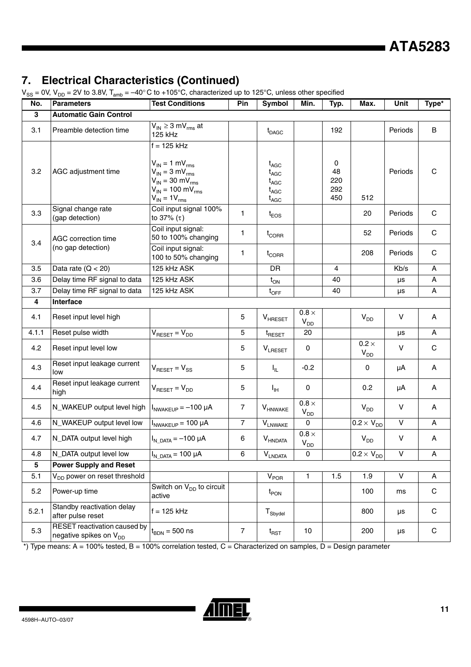# **7. Electrical Characteristics (Continued)**<br>Vec = 0V V<sub>22</sub> = 2V to 3.8V T + = -40°C to +105°C characterized up

 $V_{xx} = 0$ V, V<sub>nc</sub> = 2V to 3.8V, T<sub>am</sub> =  $-40^{\circ}$ C to +105°C, characterized up to 125°C, unless other specified

| No.   | <b>Parameters</b>                                                  | <b>Test Conditions</b>                                                                                                                                                 | Pin            | <b>Symbol</b>                                                                                                         | Min.                            | Typ.                         | Max.                                       | Unit         | Type*        |
|-------|--------------------------------------------------------------------|------------------------------------------------------------------------------------------------------------------------------------------------------------------------|----------------|-----------------------------------------------------------------------------------------------------------------------|---------------------------------|------------------------------|--------------------------------------------|--------------|--------------|
| 3     | <b>Automatic Gain Control</b>                                      |                                                                                                                                                                        |                |                                                                                                                       |                                 |                              |                                            |              |              |
| 3.1   | Preamble detection time                                            | $V_{IN} \geq 3$ mV <sub>rms</sub> at<br>125 kHz                                                                                                                        |                | $t_{DAGC}$                                                                                                            |                                 | 192                          |                                            | Periods      | B            |
| 3.2   | AGC adjustment time                                                | $f = 125$ kHz<br>$V_{IN} = 1$ mV <sub>rms</sub><br>$V_{IN} = 3 mV_{rms}$<br>$V_{IN}$ = 30 mV <sub>rms</sub><br>$V_{IN}$ = 100 mV <sub>rms</sub><br>$V_{IN} = 1V_{rms}$ |                | $t_{AGC}$<br>$\mathsf{t}_{\mathsf{AGC}}$<br>$\mathfrak{t}_{\mathsf{AGC}}$<br>$\mathsf{t}_{\mathsf{AGC}}$<br>$t_{AGC}$ |                                 | 0<br>48<br>220<br>292<br>450 | 512                                        | Periods      | $\mathbf C$  |
| 3.3   | Signal change rate<br>(gap detection)                              | Coil input signal 100%<br>to $37% (\tau)$                                                                                                                              | 1              | $t_{EOS}$                                                                                                             |                                 |                              | 20                                         | Periods      | $\mathbf C$  |
| 3.4   | AGC correction time                                                | Coil input signal:<br>50 to 100% changing                                                                                                                              | 1              | $t_{\text{CORR}}$                                                                                                     |                                 |                              | 52                                         | Periods      | $\mathbf C$  |
|       | (no gap detection)                                                 | Coil input signal:<br>100 to 50% changing                                                                                                                              | 1              | $t_{\text{CORR}}$                                                                                                     |                                 |                              | 208                                        | Periods      | $\mathbf C$  |
| 3.5   | Data rate $(Q < 20)$                                               | 125 kHz ASK                                                                                                                                                            |                | <b>DR</b>                                                                                                             |                                 | 4                            |                                            | Kb/s         | A            |
| 3.6   | Delay time RF signal to data                                       | 125 kHz ASK                                                                                                                                                            |                | $t_{ON}$                                                                                                              |                                 | 40                           |                                            | μs           | A            |
| 3.7   | Delay time RF signal to data                                       | 125 kHz ASK                                                                                                                                                            |                | $t_{\text{OFF}}$                                                                                                      |                                 | 40                           |                                            | μs           | Α            |
| 4     | Interface                                                          |                                                                                                                                                                        |                |                                                                                                                       |                                 |                              |                                            |              |              |
| 4.1   | Reset input level high                                             |                                                                                                                                                                        | 5              | $V_{HREF}$                                                                                                            | $0.8 \times$<br>$V_{DD}$        |                              | V <sub>DD</sub>                            | $\sf V$      | A            |
| 4.1.1 | Reset pulse width                                                  | $V_{\text{RESET}} = V_{\text{DD}}$                                                                                                                                     | 5              | $t_{\text{RESET}}$                                                                                                    | 20                              |                              |                                            | μs           | Α            |
| 4.2   | Reset input level low                                              |                                                                                                                                                                        | 5              | <b>VLRESET</b>                                                                                                        | 0                               |                              | $0.2 \times$<br>$\mathsf{V}_{\mathsf{DD}}$ | V            | $\mathbf C$  |
| 4.3   | Reset input leakage current<br>low                                 | $V_{\text{RESET}} = V_{SS}$                                                                                                                                            | 5              | $I_{IL}$                                                                                                              | $-0.2$                          |                              | 0                                          | μA           | A            |
| 4.4   | Reset input leakage current<br>high                                | $V_{\text{RESET}} = V_{\text{DD}}$                                                                                                                                     | 5              | $I_{\rm IH}$                                                                                                          | 0                               |                              | 0.2                                        | μA           | A            |
| 4.5   | N_WAKEUP output level high                                         | $INWAKEUP = -100 \mu A$                                                                                                                                                | $\overline{7}$ | <b>V</b> HNWAKE                                                                                                       | $0.8 \times$<br>V <sub>DD</sub> |                              | $V_{DD}$                                   | V            | A            |
| 4.6   | N_WAKEUP output level low                                          | $INWAKEUP = 100 \mu A$                                                                                                                                                 | $\overline{7}$ | $\mathsf{V}_{\mathsf{LNWAKE}}$                                                                                        | $\Omega$                        |                              | $\overline{0.2} \times V_{DD}$             | V            | Α            |
| 4.7   | N_DATA output level high                                           | $I_{N\text{ DATA}} = -100 \mu A$                                                                                                                                       | 6              | $V_{\text{HNDATA}}$                                                                                                   | $0.8 \times$<br>$V_{DD}$        |                              | $V_{DD}$                                   | V            | A            |
| 4.8   | N_DATA output level low                                            | $I_{N\text{ DATA}} = 100 \mu A$                                                                                                                                        | 6              | $\mathsf{V}_{\mathsf{LNDATA}}$                                                                                        | 0                               |                              | $\overline{0.2} \times V_{DD}$             | V            | A            |
| 5     | <b>Power Supply and Reset</b>                                      |                                                                                                                                                                        |                |                                                                                                                       |                                 |                              |                                            |              |              |
| 5.1   | V <sub>DD</sub> power on reset threshold                           |                                                                                                                                                                        |                | $V_{\mathsf{POR}}$                                                                                                    | $\mathbf{1}$                    | 1.5                          | 1.9                                        | $\mathsf{V}$ | $\mathsf{A}$ |
| 5.2   | Power-up time                                                      | Switch on $V_{DD}$ to circuit<br>active                                                                                                                                |                | $t_{\mathsf{PON}}$                                                                                                    |                                 |                              | 100                                        | ms           | C            |
| 5.2.1 | Standby reactivation delay<br>after pulse reset                    | $f = 125$ kHz                                                                                                                                                          |                | ${\mathsf T}_{\mathsf{Sbydel}}$                                                                                       |                                 |                              | 800                                        | μs           | C            |
| 5.3   | RESET reactivation caused by<br>negative spikes on V <sub>DD</sub> | $t_{\text{BDN}} = 500$ ns                                                                                                                                              | $\overline{7}$ | $t_{\mathsf{RST}}$                                                                                                    | 10                              |                              | 200                                        | μs           | C            |

 $*$ ) Type means: A = 100% tested, B = 100% correlation tested, C = Characterized on samples, D = Design parameter

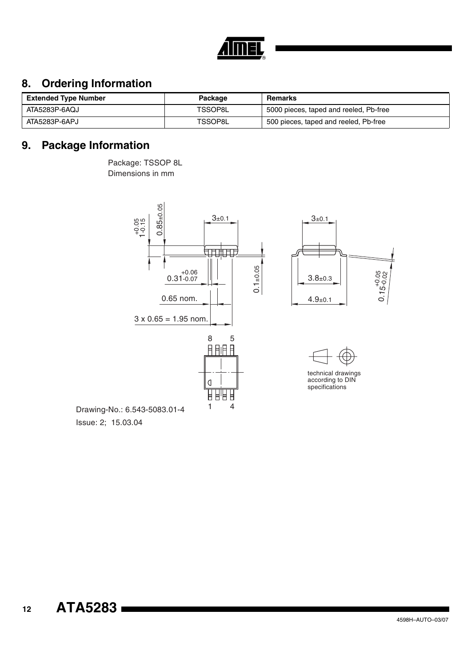

### **8. Ordering Information**

| <b>Extended Type Number</b> | Package | Remarks                                |
|-----------------------------|---------|----------------------------------------|
| ATA5283P-6AQJ               | TSSOP8L | 5000 pieces, taped and reeled. Pb-free |
| ATA5283P-6APJ               | TSSOP8L | 500 pieces, taped and reeled, Pb-free  |

### **9. Package Information**

Package: TSSOP 8L Dimensions in mm



Issue: 2; 15.03.04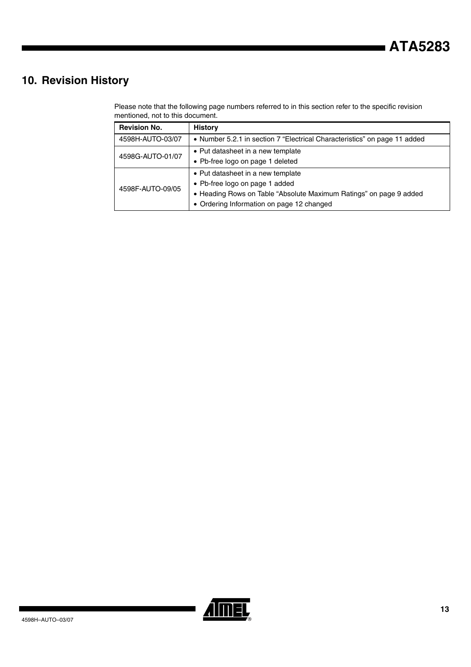### **10. Revision History**

Please note that the following page numbers referred to in this section refer to the specific revision mentioned, not to this document.

| <b>Revision No.</b> | <b>History</b>                                                                                                                                                                         |  |  |  |  |  |
|---------------------|----------------------------------------------------------------------------------------------------------------------------------------------------------------------------------------|--|--|--|--|--|
| 4598H-AUTO-03/07    | • Number 5.2.1 in section 7 "Electrical Characteristics" on page 11 added                                                                                                              |  |  |  |  |  |
| 4598G-AUTO-01/07    | • Put datasheet in a new template<br>• Pb-free logo on page 1 deleted                                                                                                                  |  |  |  |  |  |
| 4598F-AUTO-09/05    | • Put datasheet in a new template<br>• Pb-free logo on page 1 added<br>• Heading Rows on Table "Absolute Maximum Ratings" on page 9 added<br>• Ordering Information on page 12 changed |  |  |  |  |  |